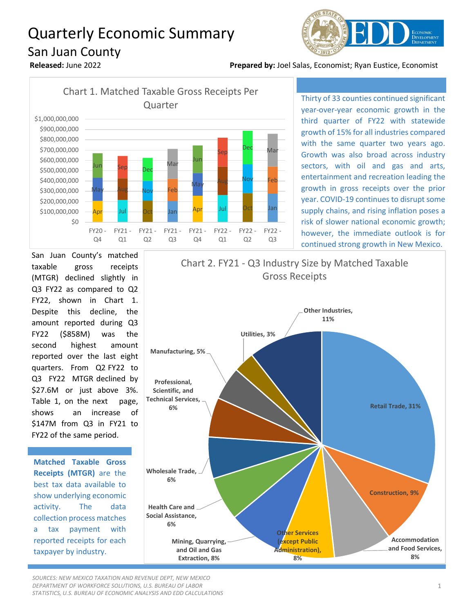## Quarterly Economic Summary San Juan County



**Released:** June 2022 **Prepared by:** Joel Salas, Economist; Ryan Eustice, Economist



Thirty of 33 counties continued significant year-over-year economic growth in the third quarter of FY22 with statewide growth of 15% for all industries compared with the same quarter two years ago. Growth was also broad across industry sectors, with oil and gas and arts, entertainment and recreation leading the growth in gross receipts over the prior year. COVID-19 continues to disrupt some supply chains, and rising inflation poses a risk of slower national economic growth; however, the immediate outlook is for continued strong growth in New Mexico.



**Matched Taxable Gross Receipts (MTGR)** are the best tax data available to show underlying economic activity. The data collection process matches a tax payment with reported receipts for each taxpayer by industry.

**Retail Trade, 31% Construction, 9% Accommodation and Food Services, 8% Other Services (except Public Administration), 8% Mining, Quarrying, and Oil and Gas Extraction, 8% Health Care and Social Assistance, 6% Wholesale Trade, 6% Professional, Scientific, and Technical Services, 6% Manufacturing, 5% Utilities, 3% Other Industries, 11%** Chart 2. FY21 - Q3 Industry Size by Matched Taxable Gross Receipts

*SOURCES: NEW MEXICO TAXATION AND REVENUE DEPT, NEW MEXICO DEPARTMENT OF WORKFORCE SOLUTIONS, U.S. BUREAU OF LABOR STATISTICS, U.S. BUREAU OF ECONOMIC ANALYSIS AND EDD CALCULATIONS*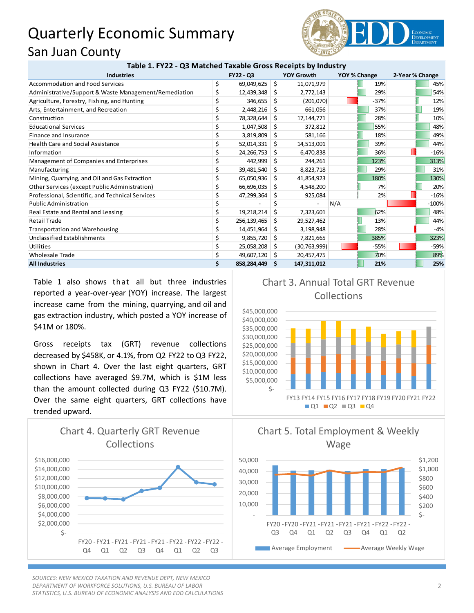## Quarterly Economic Summary San Juan County



| Table 1. FY22 - Q3 Matched Taxable Gross Receipts by Industry |  |
|---------------------------------------------------------------|--|
|---------------------------------------------------------------|--|

| <b>Industries</b>                                     | FY22 - Q3           |     | <b>YOY Growth</b> | YOY % Change |        | 2-Year % Change |
|-------------------------------------------------------|---------------------|-----|-------------------|--------------|--------|-----------------|
| <b>Accommodation and Food Services</b>                | \$<br>69,049,625    | \$  | 11,071,979        |              | 19%    | 45%             |
| Administrative/Support & Waste Management/Remediation | \$<br>12,439,348    | Ŝ.  | 2,772,143         |              | 29%    | 54%             |
| Agriculture, Forestry, Fishing, and Hunting           | \$<br>346,655       | \$. | (201,070)         |              | $-37%$ | 12%             |
| Arts, Entertainment, and Recreation                   | \$<br>2,448,216     | Ŝ.  | 661,056           |              | 37%    | 19%             |
| Construction                                          | 78,328,644          | -\$ | 17, 144, 771      |              | 28%    | 10%             |
| <b>Educational Services</b>                           | 1,047,508           | -S  | 372,812           |              | 55%    | 48%             |
| Finance and Insurance                                 | 3,819,809           | Ŝ.  | 581,166           |              | 18%    | 49%             |
| <b>Health Care and Social Assistance</b>              | 52,014,331          | -\$ | 14,513,001        |              | 39%    | 44%             |
| Information                                           | \$<br>24,266,753    | S.  | 6,470,838         |              | 36%    | $-16%$          |
| Management of Companies and Enterprises               | 442,999             | S.  | 244,261           |              | 123%   | 313%            |
| Manufacturing                                         | \$<br>39,481,540    | Ŝ.  | 8,823,718         |              | 29%    | 31%             |
| Mining, Quarrying, and Oil and Gas Extraction         | \$<br>65,050,936    | S.  | 41,854,923        |              | 180%   | 130%            |
| Other Services (except Public Administration)         | \$<br>66,696,035    | S.  | 4,548,200         |              | 7%     | 20%             |
| Professional, Scientific, and Technical Services      | \$<br>47,299,364    | \$. | 925,084           |              | 2%     | $-16%$          |
| <b>Public Administration</b>                          |                     | \$  |                   | N/A          |        | $-100%$         |
| Real Estate and Rental and Leasing                    | \$<br>19,218,214    | Ŝ.  | 7,323,601         |              | 62%    | 48%             |
| <b>Retail Trade</b>                                   | \$<br>256,139,465   | S.  | 29,527,462        |              | 13%    | 44%             |
| <b>Transportation and Warehousing</b>                 | \$<br>14,451,964    | -\$ | 3,198,948         |              | 28%    | $-4%$           |
| Unclassified Establishments                           | 9,855,720           | -\$ | 7,821,665         |              | 385%   | 323%            |
| Utilities                                             | \$<br>25,058,208    | S.  | (30, 763, 999)    |              | $-55%$ | $-59%$          |
| <b>Wholesale Trade</b>                                | \$<br>49,607,120 \$ |     | 20,457,475        |              | 70%    | 89%             |
| <b>All Industries</b>                                 | \$<br>858,284,449   | -S  | 147,311,012       |              | 21%    | 25%             |

Table 1 also shows that all but three industries reported a year-over-year (YOY) increase. The largest increase came from the mining, quarrying, and oil and gas extraction industry, which posted a YOY increase of \$41M or 180%.

Gross receipts tax (GRT) revenue collections decreased by \$458K, or 4.1%, from Q2 FY22 to Q3 FY22, shown in Chart 4. Over the last eight quarters, GRT collections have averaged \$9.7M, which is \$1M less than the amount collected during Q3 FY22 (\$10.7M). Over the same eight quarters, GRT collections have trended upward.



*SOURCES: NEW MEXICO TAXATION AND REVENUE DEPT, NEW MEXICO DEPARTMENT OF WORKFORCE SOLUTIONS, U.S. BUREAU OF LABOR STATISTICS, U.S. BUREAU OF ECONOMIC ANALYSIS AND EDD CALCULATIONS*

Chart 3. Annual Total GRT Revenue Collections